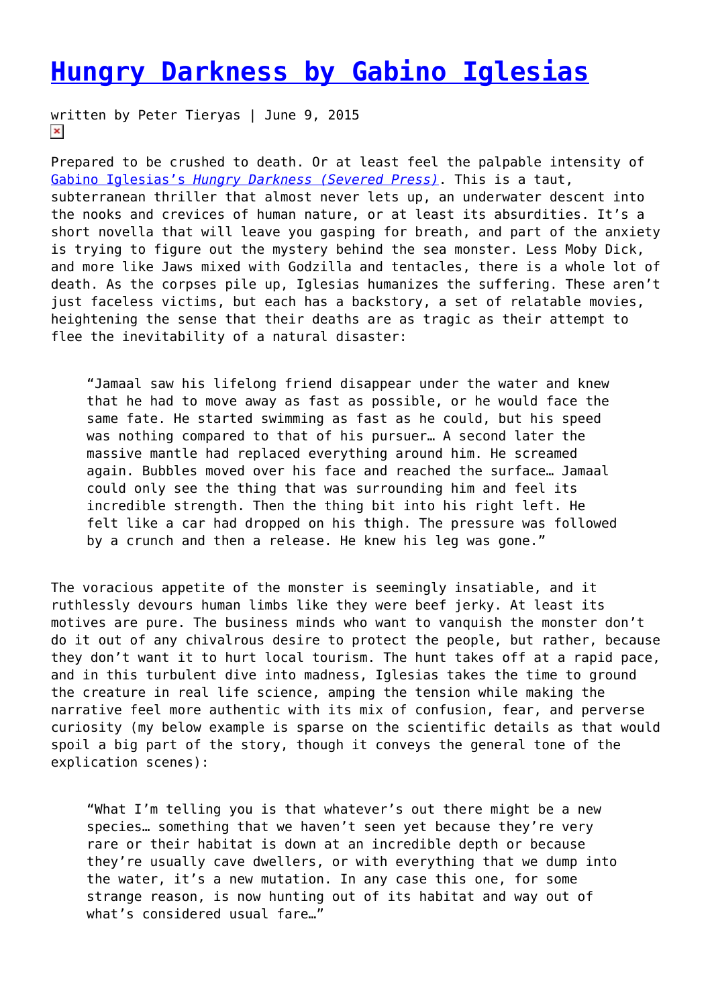## **[Hungry Darkness by Gabino Iglesias](https://entropymag.org/hungry-darkness-by-gabino-iglesias/)**

written by Peter Tieryas | June 9, 2015  $\pmb{\times}$ 

Prepared to be crushed to death. Or at least feel the palpable intensity of [Gabino Iglesias's](http://www.amazon.com/Hungry-Darkness-Deep-Sea-Thriller-ebook/dp/B00Z55IUB6/ref=zg_bsnr_886086_8) *[Hungry Darkness \(Severed Press\)](http://www.amazon.com/Hungry-Darkness-Deep-Sea-Thriller-ebook/dp/B00Z55IUB6/ref=zg_bsnr_886086_8)*. This is a taut, subterranean thriller that almost never lets up, an underwater descent into the nooks and crevices of human nature, or at least its absurdities. It's a short novella that will leave you gasping for breath, and part of the anxiety is trying to figure out the mystery behind the sea monster. Less Moby Dick, and more like Jaws mixed with Godzilla and tentacles, there is a whole lot of death. As the corpses pile up, Iglesias humanizes the suffering. These aren't just faceless victims, but each has a backstory, a set of relatable movies, heightening the sense that their deaths are as tragic as their attempt to flee the inevitability of a natural disaster:

"Jamaal saw his lifelong friend disappear under the water and knew that he had to move away as fast as possible, or he would face the same fate. He started swimming as fast as he could, but his speed was nothing compared to that of his pursuer… A second later the massive mantle had replaced everything around him. He screamed again. Bubbles moved over his face and reached the surface… Jamaal could only see the thing that was surrounding him and feel its incredible strength. Then the thing bit into his right left. He felt like a car had dropped on his thigh. The pressure was followed by a crunch and then a release. He knew his leg was gone."

The voracious appetite of the monster is seemingly insatiable, and it ruthlessly devours human limbs like they were beef jerky. At least its motives are pure. The business minds who want to vanquish the monster don't do it out of any chivalrous desire to protect the people, but rather, because they don't want it to hurt local tourism. The hunt takes off at a rapid pace, and in this turbulent dive into madness, Iglesias takes the time to ground the creature in real life science, amping the tension while making the narrative feel more authentic with its mix of confusion, fear, and perverse curiosity (my below example is sparse on the scientific details as that would spoil a big part of the story, though it conveys the general tone of the explication scenes):

"What I'm telling you is that whatever's out there might be a new species… something that we haven't seen yet because they're very rare or their habitat is down at an incredible depth or because they're usually cave dwellers, or with everything that we dump into the water, it's a new mutation. In any case this one, for some strange reason, is now hunting out of its habitat and way out of what's considered usual fare…"